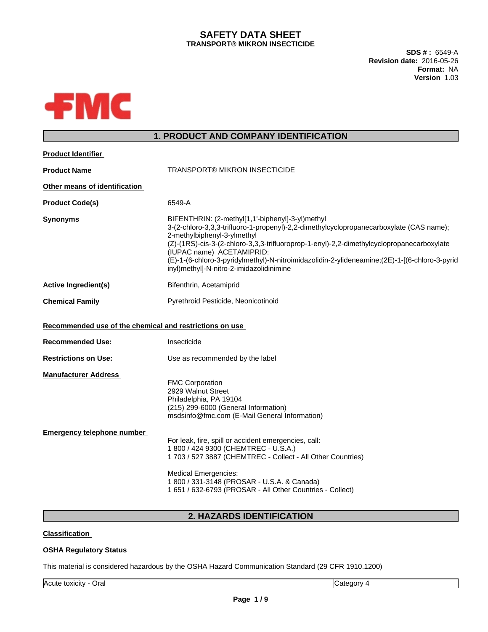# **SAFETY DATA SHEET TRANSPORT® MIKRON INSECTICIDE**

**SDS # :** 6549-A **Revision date:** 2016-05-26 **Format:** NA **Version** 1.03



# **1. PRODUCT AND COMPANY IDENTIFICATION**

**2. HAZARDS IDENTIFICATION**

# **Classification**

# **OSHA Regulatory Status**

This material is considered hazardous by the OSHA Hazard Communication Standard (29 CFR 1910.1200)

Acute toxicity - Oral Category 4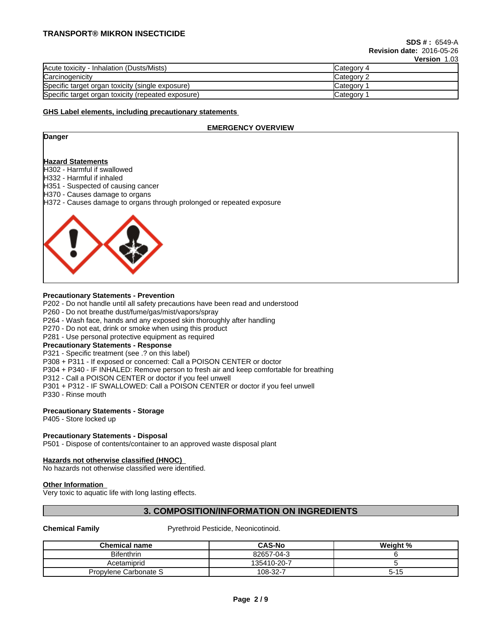# **TRANSPORT® MIKRON INSECTICIDE**

|                                                    | .<br>           |
|----------------------------------------------------|-----------------|
| Acute toxicity - Inhalation (Dusts/Mists)          | Category 4      |
| Carcinogenicity                                    | Category 2      |
| Specific target organ toxicity (single exposure)   | <b>Category</b> |
| Specific target organ toxicity (repeated exposure) | <b>Category</b> |

### **GHS Label elements, including precautionary statements**

## **EMERGENCY OVERVIEW**

| H332 - Harmful if inhaled<br>H370 - Causes damage to organs |                                                                       |
|-------------------------------------------------------------|-----------------------------------------------------------------------|
|                                                             | Danger                                                                |
|                                                             | <b>Hazard Statements</b><br>H302 - Harmful if swallowed               |
|                                                             | H351 - Suspected of causing cancer                                    |
|                                                             | H372 - Causes damage to organs through prolonged or repeated exposure |
|                                                             |                                                                       |

### **Precautionary Statements - Prevention**

P202 - Do not handle until all safety precautions have been read and understood

P260 - Do not breathe dust/fume/gas/mist/vapors/spray

P264 - Wash face, hands and any exposed skin thoroughly after handling

P270 - Do not eat, drink or smoke when using this product

P281 - Use personal protective equipment as required

### **Precautionary Statements - Response**

P321 - Specific treatment (see .? on this label)

P308 + P311 - If exposed or concerned: Call a POISON CENTER or doctor

P304 + P340 - IF INHALED: Remove person to fresh air and keep comfortable for breathing

P312 - Call a POISON CENTER or doctor if you feel unwell

P301 + P312 - IF SWALLOWED: Call a POISON CENTER or doctor if you feel unwell

P330 - Rinse mouth

# **Precautionary Statements - Storage**

P405 - Store locked up

### **Precautionary Statements - Disposal**

P501 - Dispose of contents/container to an approved waste disposal plant

### **Hazards not otherwise classified (HNOC)**

No hazards not otherwise classified were identified.

### **Other Information**

Very toxic to aquatic life with long lasting effects.

# **3. COMPOSITION/INFORMATION ON INGREDIENTS**

**Chemical Family** Pyrethroid Pesticide, Neonicotinoid.

| <b>Chemical name</b>  | <b>CAS-No</b> | Weight %       |
|-----------------------|---------------|----------------|
| <b>Bifenthrin</b>     | 82657-04-3    |                |
| Acetamiprid           | 135410-20-7   |                |
| Propylene Carbonate S | 108-32-7      | - 4 F<br>ם ו-כ |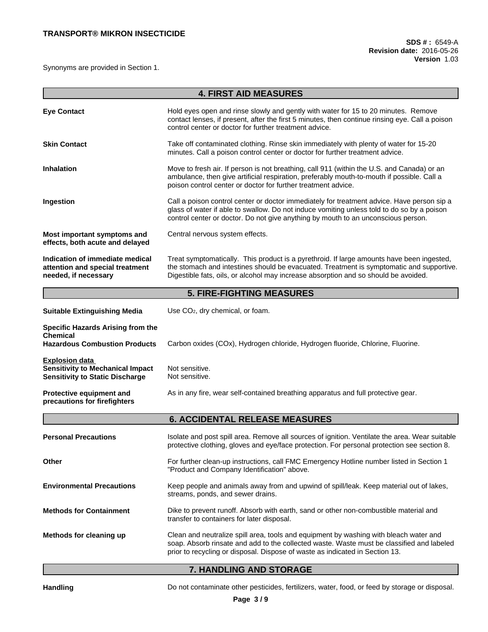Synonyms are provided in Section 1.

|                                                                                                            | <b>4. FIRST AID MEASURES</b>                                                                                                                                                                                                                                                  |  |  |
|------------------------------------------------------------------------------------------------------------|-------------------------------------------------------------------------------------------------------------------------------------------------------------------------------------------------------------------------------------------------------------------------------|--|--|
| <b>Eye Contact</b>                                                                                         | Hold eyes open and rinse slowly and gently with water for 15 to 20 minutes. Remove<br>contact lenses, if present, after the first 5 minutes, then continue rinsing eye. Call a poison<br>control center or doctor for further treatment advice.                               |  |  |
| <b>Skin Contact</b>                                                                                        | Take off contaminated clothing. Rinse skin immediately with plenty of water for 15-20<br>minutes. Call a poison control center or doctor for further treatment advice.                                                                                                        |  |  |
| <b>Inhalation</b>                                                                                          | Move to fresh air. If person is not breathing, call 911 (within the U.S. and Canada) or an<br>ambulance, then give artificial respiration, preferably mouth-to-mouth if possible. Call a<br>poison control center or doctor for further treatment advice.                     |  |  |
| Ingestion                                                                                                  | Call a poison control center or doctor immediately for treatment advice. Have person sip a<br>glass of water if able to swallow. Do not induce vomiting unless told to do so by a poison<br>control center or doctor. Do not give anything by mouth to an unconscious person. |  |  |
| Most important symptoms and<br>effects, both acute and delayed                                             | Central nervous system effects.                                                                                                                                                                                                                                               |  |  |
| Indication of immediate medical<br>attention and special treatment<br>needed, if necessary                 | Treat symptomatically. This product is a pyrethroid. If large amounts have been ingested,<br>the stomach and intestines should be evacuated. Treatment is symptomatic and supportive.<br>Digestible fats, oils, or alcohol may increase absorption and so should be avoided.  |  |  |
|                                                                                                            | <b>5. FIRE-FIGHTING MEASURES</b>                                                                                                                                                                                                                                              |  |  |
| <b>Suitable Extinguishing Media</b>                                                                        | Use CO <sub>2</sub> , dry chemical, or foam.                                                                                                                                                                                                                                  |  |  |
| Specific Hazards Arising from the<br><b>Chemical</b><br><b>Hazardous Combustion Products</b>               | Carbon oxides (COx), Hydrogen chloride, Hydrogen fluoride, Chlorine, Fluorine.                                                                                                                                                                                                |  |  |
| <b>Explosion data</b><br><b>Sensitivity to Mechanical Impact</b><br><b>Sensitivity to Static Discharge</b> | Not sensitive.<br>Not sensitive.                                                                                                                                                                                                                                              |  |  |
| Protective equipment and<br>precautions for firefighters                                                   | As in any fire, wear self-contained breathing apparatus and full protective gear.                                                                                                                                                                                             |  |  |
|                                                                                                            | <b>6. ACCIDENTAL RELEASE MEASURES</b>                                                                                                                                                                                                                                         |  |  |
| <b>Personal Precautions</b>                                                                                | Isolate and post spill area. Remove all sources of ignition. Ventilate the area. Wear suitable<br>protective clothing, gloves and eye/face protection. For personal protection see section 8.                                                                                 |  |  |
| Other                                                                                                      | For further clean-up instructions, call FMC Emergency Hotline number listed in Section 1<br>"Product and Company Identification" above.                                                                                                                                       |  |  |
| <b>Environmental Precautions</b>                                                                           | Keep people and animals away from and upwind of spill/leak. Keep material out of lakes,<br>streams, ponds, and sewer drains.                                                                                                                                                  |  |  |
| <b>Methods for Containment</b>                                                                             | Dike to prevent runoff. Absorb with earth, sand or other non-combustible material and<br>transfer to containers for later disposal.                                                                                                                                           |  |  |
| Methods for cleaning up                                                                                    | Clean and neutralize spill area, tools and equipment by washing with bleach water and<br>soap. Absorb rinsate and add to the collected waste. Waste must be classified and labeled<br>prior to recycling or disposal. Dispose of waste as indicated in Section 13.            |  |  |

# **7. HANDLING AND STORAGE**

Handling **Handling** Do not contaminate other pesticides, fertilizers, water, food, or feed by storage or disposal.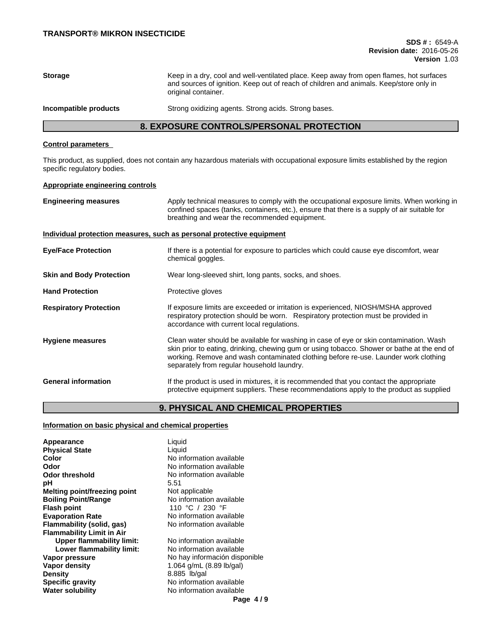| <b>Storage</b>        | Keep in a dry, cool and well-ventilated place. Keep away from open flames, hot surfaces<br>and sources of ignition. Keep out of reach of children and animals. Keep/store only in<br>original container. |
|-----------------------|----------------------------------------------------------------------------------------------------------------------------------------------------------------------------------------------------------|
| Incompatible products | Strong oxidizing agents. Strong acids. Strong bases.                                                                                                                                                     |

# **8. EXPOSURE CONTROLS/PERSONAL PROTECTION**

# **Control parameters**

This product, as supplied, does not contain any hazardous materials with occupational exposure limits established by the region specific regulatory bodies.

# **Appropriate engineering controls**

| <b>Engineering measures</b>                                           | Apply technical measures to comply with the occupational exposure limits. When working in<br>confined spaces (tanks, containers, etc.), ensure that there is a supply of air suitable for<br>breathing and wear the recommended equipment.                                                                                 |
|-----------------------------------------------------------------------|----------------------------------------------------------------------------------------------------------------------------------------------------------------------------------------------------------------------------------------------------------------------------------------------------------------------------|
| Individual protection measures, such as personal protective equipment |                                                                                                                                                                                                                                                                                                                            |
| <b>Eye/Face Protection</b>                                            | If there is a potential for exposure to particles which could cause eye discomfort, wear<br>chemical goggles.                                                                                                                                                                                                              |
| <b>Skin and Body Protection</b>                                       | Wear long-sleeved shirt, long pants, socks, and shoes.                                                                                                                                                                                                                                                                     |
| <b>Hand Protection</b>                                                | Protective gloves                                                                                                                                                                                                                                                                                                          |
| <b>Respiratory Protection</b>                                         | If exposure limits are exceeded or irritation is experienced, NIOSH/MSHA approved<br>respiratory protection should be worn. Respiratory protection must be provided in<br>accordance with current local regulations.                                                                                                       |
| <b>Hygiene measures</b>                                               | Clean water should be available for washing in case of eye or skin contamination. Wash<br>skin prior to eating, drinking, chewing gum or using tobacco. Shower or bathe at the end of<br>working. Remove and wash contaminated clothing before re-use. Launder work clothing<br>separately from regular household laundry. |
| <b>General information</b>                                            | If the product is used in mixtures, it is recommended that you contact the appropriate<br>protective equipment suppliers. These recommendations apply to the product as supplied                                                                                                                                           |

# **9. PHYSICAL AND CHEMICAL PROPERTIES**

# **Information on basic physical and chemical properties**

| Appearance                       | Liquid                             |
|----------------------------------|------------------------------------|
| <b>Physical State</b>            | Liquid                             |
| Color                            | No information available           |
| Odor                             | No information available           |
| <b>Odor threshold</b>            | No information available           |
| рH                               | 5.51                               |
| Melting point/freezing point     | Not applicable                     |
| <b>Boiling Point/Range</b>       | No information available           |
| <b>Flash point</b>               | 110 °C / 230 °F                    |
| <b>Evaporation Rate</b>          | No information available           |
| Flammability (solid, gas)        | No information available           |
| <b>Flammability Limit in Air</b> |                                    |
| <b>Upper flammability limit:</b> | No information available           |
| Lower flammability limit:        | No information available           |
| Vapor pressure                   | No hay información disponible      |
| <b>Vapor density</b>             | 1.064 g/mL $(8.89 \text{ lb/gal})$ |
| <b>Density</b>                   | 8.885 lb/gal                       |
| <b>Specific gravity</b>          | No information available           |
| <b>Water solubility</b>          | No information available           |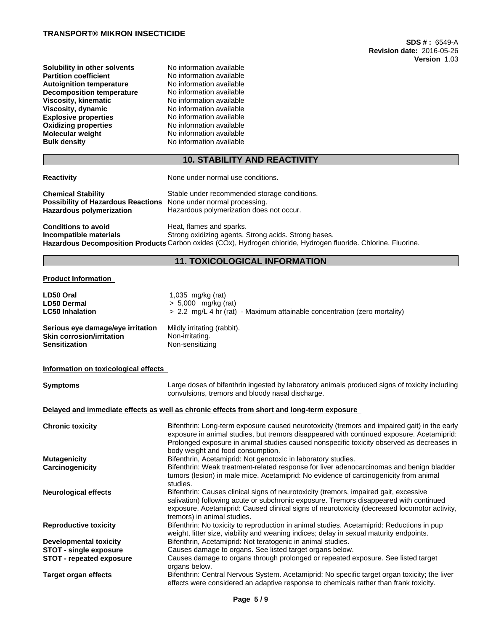## **TRANSPORT® MIKRON INSECTICIDE**

**Solubility in other solvents** No information available<br> **Partition coefficient** No information available **Autoignition temperature No information available**<br>**Decomposition temperature No information available Decomposition temperature**<br>Viscosity, kinematic **Viscosity, dynamic** No information available **Explosive properties**<br> **Oxidizing properties**<br>
No information available **Oxidizing properties**<br>Molecular weight **Molecular weight Molecular Weight** No information available<br> **Bulk density No information available** 

No information available<br>No information available **Viscosity, kinematic** No information available **No information available** 

# **10. STABILITY AND REACTIVITY**

|  | <b>Reactivity</b> |  |
|--|-------------------|--|
|  |                   |  |

None under normal use conditions.

| <b>Chemical Stability</b>                                               | Stable under recommended storage conditions. |
|-------------------------------------------------------------------------|----------------------------------------------|
| <b>Possibility of Hazardous Reactions</b> None under normal processing. |                                              |
| Hazardous polymerization                                                | Hazardous polymerization does not occur.     |

**Conditions to avoid**<br> **Conditions to avoid**<br> **Conditions**<br> **Conditions**<br> **Conditions**<br> **Conditions**<br> **Conditions**<br> **Conditions**<br> **Conditions**<br> **Conditions Strong oxidizing agents. Strong acids. Strong bases. Hazardous Decomposition Products** Carbon oxides (COx), Hydrogen chloride, Hydrogen fluoride. Chlorine. Fluorine.

# **11. TOXICOLOGICAL INFORMATION**

## **Product Information**

| Mildly irritating (rabbit).<br>Non-irritating.<br>Non-sensitizing<br>Large doses of bifenthrin ingested by laboratory animals produced signs of toxicity including<br>convulsions, tremors and bloody nasal discharge.<br>Delayed and immediate effects as well as chronic effects from short and long-term exposure<br>Bifenthrin: Long-term exposure caused neurotoxicity (tremors and impaired gait) in the early<br>exposure in animal studies, but tremors disappeared with continued exposure. Acetamiprid:<br>Prolonged exposure in animal studies caused nonspecific toxicity observed as decreases in<br>body weight and food consumption.<br>Bifenthrin, Acetamiprid: Not genotoxic in laboratory studies.<br>Bifenthrin: Weak treatment-related response for liver adenocarcinomas and benign bladder<br>tumors (lesion) in male mice. Acetamiprid: No evidence of carcinogenicity from animal<br>studies.<br>Bifenthrin: Causes clinical signs of neurotoxicity (tremors, impaired gait, excessive<br>salivation) following acute or subchronic exposure. Tremors disappeared with continued<br>exposure. Acetamiprid: Caused clinical signs of neurotoxicity (decreased locomotor activity,<br>tremors) in animal studies.<br>Bifenthrin: No toxicity to reproduction in animal studies. Acetamiprid: Reductions in pup<br>weight, litter size, viability and weaning indices; delay in sexual maturity endpoints.<br>Bifenthrin, Acetamiprid: Not teratogenic in animal studies.<br><b>STOT - single exposure</b><br>Causes damage to organs. See listed target organs below.<br>Causes damage to organs through prolonged or repeated exposure. See listed target<br><b>STOT - repeated exposure</b><br>organs below.<br>Bifenthrin: Central Nervous System. Acetamiprid: No specific target organ toxicity; the liver | LD50 Oral<br><b>LD50 Dermal</b><br><b>LC50 Inhalation</b>                                     | 1,035 mg/kg (rat)<br>$> 5,000$ mg/kg (rat)<br>> 2.2 mg/L 4 hr (rat) - Maximum attainable concentration (zero mortality) |
|---------------------------------------------------------------------------------------------------------------------------------------------------------------------------------------------------------------------------------------------------------------------------------------------------------------------------------------------------------------------------------------------------------------------------------------------------------------------------------------------------------------------------------------------------------------------------------------------------------------------------------------------------------------------------------------------------------------------------------------------------------------------------------------------------------------------------------------------------------------------------------------------------------------------------------------------------------------------------------------------------------------------------------------------------------------------------------------------------------------------------------------------------------------------------------------------------------------------------------------------------------------------------------------------------------------------------------------------------------------------------------------------------------------------------------------------------------------------------------------------------------------------------------------------------------------------------------------------------------------------------------------------------------------------------------------------------------------------------------------------------------------------------------------------------------------------------------------|-----------------------------------------------------------------------------------------------|-------------------------------------------------------------------------------------------------------------------------|
|                                                                                                                                                                                                                                                                                                                                                                                                                                                                                                                                                                                                                                                                                                                                                                                                                                                                                                                                                                                                                                                                                                                                                                                                                                                                                                                                                                                                                                                                                                                                                                                                                                                                                                                                                                                                                                       | Serious eye damage/eye irritation<br><b>Skin corrosion/irritation</b><br><b>Sensitization</b> |                                                                                                                         |
|                                                                                                                                                                                                                                                                                                                                                                                                                                                                                                                                                                                                                                                                                                                                                                                                                                                                                                                                                                                                                                                                                                                                                                                                                                                                                                                                                                                                                                                                                                                                                                                                                                                                                                                                                                                                                                       | Information on toxicological effects                                                          |                                                                                                                         |
|                                                                                                                                                                                                                                                                                                                                                                                                                                                                                                                                                                                                                                                                                                                                                                                                                                                                                                                                                                                                                                                                                                                                                                                                                                                                                                                                                                                                                                                                                                                                                                                                                                                                                                                                                                                                                                       | <b>Symptoms</b>                                                                               |                                                                                                                         |
|                                                                                                                                                                                                                                                                                                                                                                                                                                                                                                                                                                                                                                                                                                                                                                                                                                                                                                                                                                                                                                                                                                                                                                                                                                                                                                                                                                                                                                                                                                                                                                                                                                                                                                                                                                                                                                       |                                                                                               |                                                                                                                         |
|                                                                                                                                                                                                                                                                                                                                                                                                                                                                                                                                                                                                                                                                                                                                                                                                                                                                                                                                                                                                                                                                                                                                                                                                                                                                                                                                                                                                                                                                                                                                                                                                                                                                                                                                                                                                                                       | <b>Chronic toxicity</b>                                                                       |                                                                                                                         |
|                                                                                                                                                                                                                                                                                                                                                                                                                                                                                                                                                                                                                                                                                                                                                                                                                                                                                                                                                                                                                                                                                                                                                                                                                                                                                                                                                                                                                                                                                                                                                                                                                                                                                                                                                                                                                                       | <b>Mutagenicity</b>                                                                           |                                                                                                                         |
|                                                                                                                                                                                                                                                                                                                                                                                                                                                                                                                                                                                                                                                                                                                                                                                                                                                                                                                                                                                                                                                                                                                                                                                                                                                                                                                                                                                                                                                                                                                                                                                                                                                                                                                                                                                                                                       | Carcinogenicity                                                                               |                                                                                                                         |
|                                                                                                                                                                                                                                                                                                                                                                                                                                                                                                                                                                                                                                                                                                                                                                                                                                                                                                                                                                                                                                                                                                                                                                                                                                                                                                                                                                                                                                                                                                                                                                                                                                                                                                                                                                                                                                       | <b>Neurological effects</b>                                                                   |                                                                                                                         |
|                                                                                                                                                                                                                                                                                                                                                                                                                                                                                                                                                                                                                                                                                                                                                                                                                                                                                                                                                                                                                                                                                                                                                                                                                                                                                                                                                                                                                                                                                                                                                                                                                                                                                                                                                                                                                                       | <b>Reproductive toxicity</b>                                                                  |                                                                                                                         |
|                                                                                                                                                                                                                                                                                                                                                                                                                                                                                                                                                                                                                                                                                                                                                                                                                                                                                                                                                                                                                                                                                                                                                                                                                                                                                                                                                                                                                                                                                                                                                                                                                                                                                                                                                                                                                                       | <b>Developmental toxicity</b>                                                                 |                                                                                                                         |
|                                                                                                                                                                                                                                                                                                                                                                                                                                                                                                                                                                                                                                                                                                                                                                                                                                                                                                                                                                                                                                                                                                                                                                                                                                                                                                                                                                                                                                                                                                                                                                                                                                                                                                                                                                                                                                       |                                                                                               |                                                                                                                         |
|                                                                                                                                                                                                                                                                                                                                                                                                                                                                                                                                                                                                                                                                                                                                                                                                                                                                                                                                                                                                                                                                                                                                                                                                                                                                                                                                                                                                                                                                                                                                                                                                                                                                                                                                                                                                                                       |                                                                                               |                                                                                                                         |
|                                                                                                                                                                                                                                                                                                                                                                                                                                                                                                                                                                                                                                                                                                                                                                                                                                                                                                                                                                                                                                                                                                                                                                                                                                                                                                                                                                                                                                                                                                                                                                                                                                                                                                                                                                                                                                       | <b>Target organ effects</b>                                                                   | effects were considered an adaptive response to chemicals rather than frank toxicity.                                   |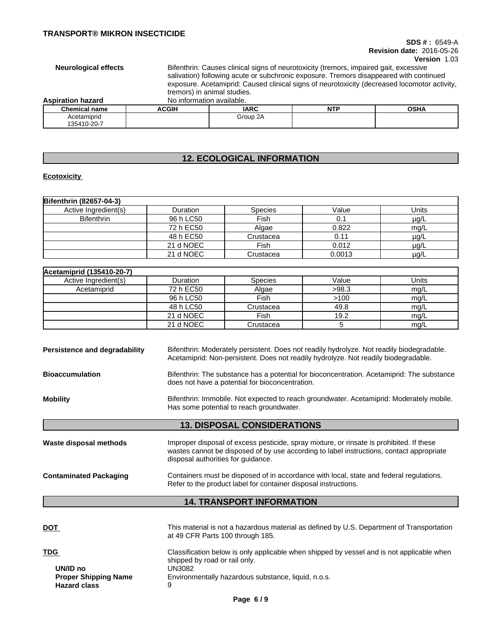### **SDS # :** 6549-A **Revision date:** 2016-05-26 **Version** 1.03

**Neurological effects** Bifenthrin: Causes clinical signs of neurotoxicity (tremors, impaired gait, excessive salivation) following acute or subchronic exposure. Tremors disappeared with continued exposure. Acetamiprid: Caused clinical signs of neurotoxicity (decreased locomotor activity, tremors) in animal studies. **Aspiration hazard** No information available.

| ASDII dUUIT HAZAI U  | <u>INU ILIIUHITAIIUH AVAIIADIU.</u> |             |             |             |
|----------------------|-------------------------------------|-------------|-------------|-------------|
| <b>Chemical name</b> | <b>ACGIF</b>                        | <b>IARC</b> | NITD<br>. . | <b>OSHA</b> |
| Acetamiprid          |                                     | Group 2A    |             |             |
| 135410-20-7          |                                     |             |             |             |

# **12. ECOLOGICAL INFORMATION**

# **Ecotoxicity**

| <b>Bifenthrin (82657-04-3)</b> |           |                |        |           |
|--------------------------------|-----------|----------------|--------|-----------|
| Active Ingredient(s)           | Duration  | <b>Species</b> | Value  | Units     |
| <b>Bifenthrin</b>              | 96 h LC50 | Fish           | 0.1    | $\mu$ g/L |
|                                | 72 h EC50 | Algae          | 0.822  | mg/L      |
|                                | 48 h EC50 | Crustacea      | 0.11   | $\mu$ g/L |
|                                | 21 d NOEC | Fish           | 0.012  | $\mu$ g/L |
|                                | 21 d NOEC | Crustacea      | 0.0013 | $\mu$ g/L |

| Acetamiprid (135410-20-7) |                 |                |       |       |
|---------------------------|-----------------|----------------|-------|-------|
| Active Ingredient(s)      | <b>Duration</b> | <b>Species</b> | Value | Units |
| Acetamiprid               | 72 h EC50       | Algae          | >98.3 | mg/L  |
|                           | 96 h LC50       | Fish           | >100  | mg/L  |
|                           | 48 h LC50       | Crustacea      | 49.8  | mg/L  |
|                           | 21 d NOEC       | Fish           | 19.2  | mg/L  |
|                           | 21 d NOEC       | Crustacea      |       | mg/L  |

| Persistence and degradability | Bifenthrin: Moderately persistent. Does not readily hydrolyze. Not readily biodegradable.<br>Acetamiprid: Non-persistent. Does not readily hydrolyze. Not readily biodegradable.                                           |
|-------------------------------|----------------------------------------------------------------------------------------------------------------------------------------------------------------------------------------------------------------------------|
| <b>Bioaccumulation</b>        | Bifenthrin: The substance has a potential for bioconcentration. Acetamiprid: The substance<br>does not have a potential for bioconcentration.                                                                              |
| <b>Mobility</b>               | Bifenthrin: Immobile. Not expected to reach groundwater. Acetamiprid: Moderately mobile.<br>Has some potential to reach groundwater.                                                                                       |
|                               |                                                                                                                                                                                                                            |
|                               | <b>13. DISPOSAL CONSIDERATIONS</b>                                                                                                                                                                                         |
| Waste disposal methods        | Improper disposal of excess pesticide, spray mixture, or rinsate is prohibited. If these<br>wastes cannot be disposed of by use according to label instructions, contact appropriate<br>disposal authorities for guidance. |

# **14. TRANSPORT INFORMATION**

| <u>DOT</u>                  | This material is not a hazardous material as defined by U.S. Department of Transportation<br>at 49 CFR Parts 100 through 185. |
|-----------------------------|-------------------------------------------------------------------------------------------------------------------------------|
| <b>TDG</b>                  | Classification below is only applicable when shipped by vessel and is not applicable when                                     |
| UN/ID no                    | shipped by road or rail only.                                                                                                 |
| <b>Proper Shipping Name</b> | UN3082                                                                                                                        |
| <b>Hazard class</b>         | Environmentally hazardous substance, liquid, n.o.s.                                                                           |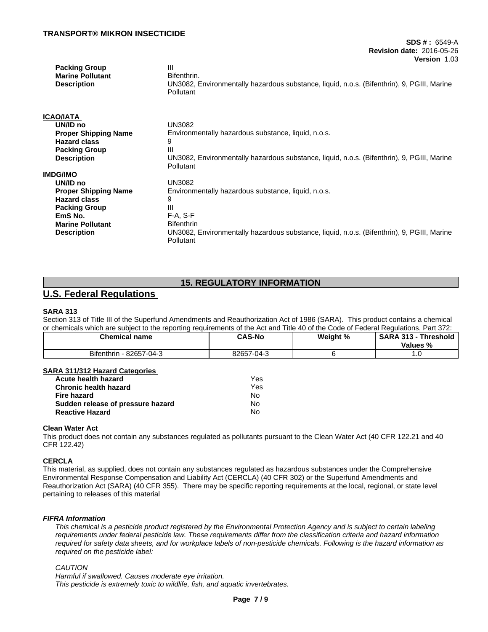## **TRANSPORT® MIKRON INSECTICIDE**

| <b>Packing Group</b><br><b>Marine Pollutant</b> | $\mathbf{III}$<br>Bifenthrin.                                                              |
|-------------------------------------------------|--------------------------------------------------------------------------------------------|
| <b>Description</b>                              | UN3082, Environmentally hazardous substance, liquid, n.o.s. (Bifenthrin), 9, PGIII, Marine |
|                                                 | Pollutant                                                                                  |
|                                                 |                                                                                            |
| ICAO/IATA                                       |                                                                                            |
| UN/ID no                                        | <b>UN3082</b>                                                                              |
| <b>Proper Shipping Name</b>                     | Environmentally hazardous substance, liquid, n.o.s.                                        |
| <b>Hazard class</b>                             | 9                                                                                          |
| <b>Packing Group</b>                            | Ш                                                                                          |
| <b>Description</b>                              | UN3082, Environmentally hazardous substance, liquid, n.o.s. (Bifenthrin), 9, PGIII, Marine |
|                                                 | Pollutant                                                                                  |
| IMDG/IMO                                        |                                                                                            |
| UN/ID no                                        | <b>UN3082</b>                                                                              |
| <b>Proper Shipping Name</b>                     | Environmentally hazardous substance, liquid, n.o.s.                                        |
| <b>Hazard class</b>                             | 9                                                                                          |
| <b>Packing Group</b>                            | Ш                                                                                          |
| EmS No.                                         | $F-A, S-F$                                                                                 |
| <b>Marine Pollutant</b>                         | <b>Bifenthrin</b>                                                                          |
| <b>Description</b>                              | UN3082, Environmentally hazardous substance, liquid, n.o.s. (Bifenthrin), 9, PGIII, Marine |
|                                                 | Pollutant                                                                                  |

# **15. REGULATORY INFORMATION**

# **U.S. Federal Regulations**

## **SARA 313**

Section 313 of Title III of the Superfund Amendments and Reauthorization Act of 1986 (SARA). This product contains a chemical or chemicals which are subject to the reporting requirements of the Act and Title 40 of the Code of Federal Regulations, Part 372:

| <b>Chemical name</b>            | <b>CAS-No</b> | Weight % | <b>SARA</b><br>313<br>--<br><b>Threshold</b><br>Values<br>-70 |
|---------------------------------|---------------|----------|---------------------------------------------------------------|
| <b>Bifenthrin</b><br>82657-04-3 | 82657-04-3    |          | ں ،                                                           |

### **SARA 311/312 Hazard Categories**

| Acute health hazard               | Yes |
|-----------------------------------|-----|
| <b>Chronic health hazard</b>      | Yes |
| Fire hazard                       | N٥  |
| Sudden release of pressure hazard | N٥  |
| <b>Reactive Hazard</b>            | No  |

# **Clean Water Act**

This product does not contain any substances regulated as pollutants pursuant to the Clean Water Act (40 CFR 122.21 and 40 CFR 122.42)

# **CERCLA**

This material, as supplied, does not contain any substances regulated as hazardous substances under the Comprehensive Environmental Response Compensation and Liability Act (CERCLA) (40 CFR 302) or the Superfund Amendments and Reauthorization Act (SARA) (40 CFR 355). There may be specific reporting requirements at the local, regional, or state level pertaining to releases of this material

### *FIFRA Information*

This chemical is a pesticide product registered by the Environmental Protection Agency and is subject to certain labeling requirements under federal pesticide law. These requirements differ from the classification criteria and hazard information required for safety data sheets, and for workplace labels of non-pesticide chemicals. Following is the hazard information as *required on the pesticide label:*

### *CAUTION*

*Harmful if swallowed. Causes moderate eye irritation. This pesticide is extremely toxic to wildlife, fish, and aquatic invertebrates.*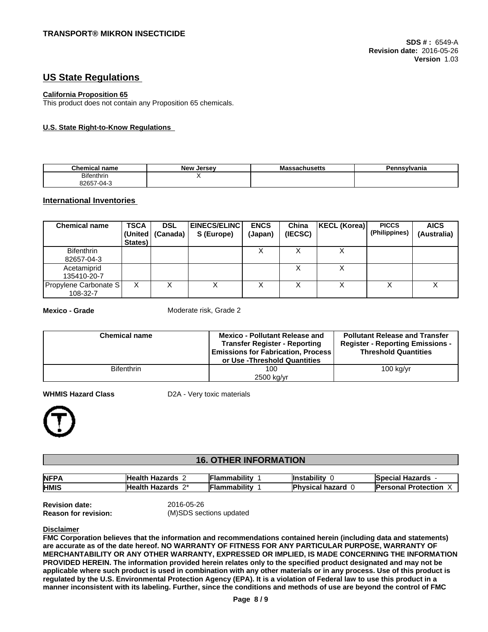# **US State Regulations**

### **California Proposition 65**

This product does not contain any Proposition 65 chemicals.

# **U.S. State Right-to-Know Regulations**

| <b>Chemical name</b>                                 | <b>New</b><br>Jersev | massachusetts | Pennsvlvania |
|------------------------------------------------------|----------------------|---------------|--------------|
| <b>Bifenthrin</b><br>the contract of the contract of |                      |               |              |
| 0.2 <sup>o</sup><br>-04<br>32007<br>.                |                      |               |              |

# **International Inventories**

| <b>Chemical name</b>              | <b>TSCA</b><br>States) | <b>DSL</b><br>(United   (Canada) | <b>EINECS/ELINC</b><br>S (Europe) | <b>ENCS</b><br>(Japan) | China<br>(IECSC) | <b>KECL (Korea)</b> | <b>PICCS</b><br>(Philippines) | <b>AICS</b><br>(Australia) |
|-----------------------------------|------------------------|----------------------------------|-----------------------------------|------------------------|------------------|---------------------|-------------------------------|----------------------------|
| <b>Bifenthrin</b><br>82657-04-3   |                        |                                  |                                   |                        |                  | ⌒                   |                               |                            |
| Acetamiprid<br>135410-20-7        |                        |                                  |                                   |                        |                  | ∧                   |                               |                            |
| Propylene Carbonate S<br>108-32-7 | Χ                      |                                  | ⋏                                 | ⌒                      |                  | ⌒                   | ⌒                             | ⌒                          |

**Mexico - Grade** Moderate risk, Grade 2

| <b>Chemical name</b> | <b>Mexico - Pollutant Release and</b><br><b>Transfer Register - Reporting</b><br><b>Emissions for Fabrication, Process</b><br>or Use - Threshold Quantities | <b>Pollutant Release and Transfer</b><br><b>Register - Reporting Emissions -</b><br><b>Threshold Quantities</b> |
|----------------------|-------------------------------------------------------------------------------------------------------------------------------------------------------------|-----------------------------------------------------------------------------------------------------------------|
| <b>Bifenthrin</b>    | 100                                                                                                                                                         | $100$ kg/yr                                                                                                     |
|                      | 2500 kg/yr                                                                                                                                                  |                                                                                                                 |

**WHMIS Hazard Class** D2A - Very toxic materials



# **16. OTHER INFORMATION**

| <b>NFPA</b> | <b>Health</b><br>Hazards                | <br>lFlammabilitv | <b>Instability</b> | . .<br>Hazards<br>Special |
|-------------|-----------------------------------------|-------------------|--------------------|---------------------------|
| <b>HMIS</b> | <b>Health</b><br>$^{\wedge}$<br>Hazards | .<br>Flammabilitv | 'hvsical hazard    | Protection<br>sonal       |

**Revision date:** 2016-05-26

**Reason for revision:** (M)SDS sections updated

### **Disclaimer**

**FMC Corporation believes that the information and recommendations contained herein (including data and statements) are accurate as of the date hereof. NO WARRANTY OF FITNESS FOR ANY PARTICULAR PURPOSE, WARRANTY OF MERCHANTABILITY OR ANY OTHER WARRANTY, EXPRESSED OR IMPLIED, IS MADE CONCERNING THE INFORMATION** PROVIDED HEREIN. The information provided herein relates only to the specified product designated and may not be applicable where such product is used in combination with any other materials or in any process. Use of this product is regulated by the U.S. Environmental Protection Agency (EPA). It is a violation of Federal law to use this product in a manner inconsistent with its labeling. Further, since the conditions and methods of use are beyond the control of FMC